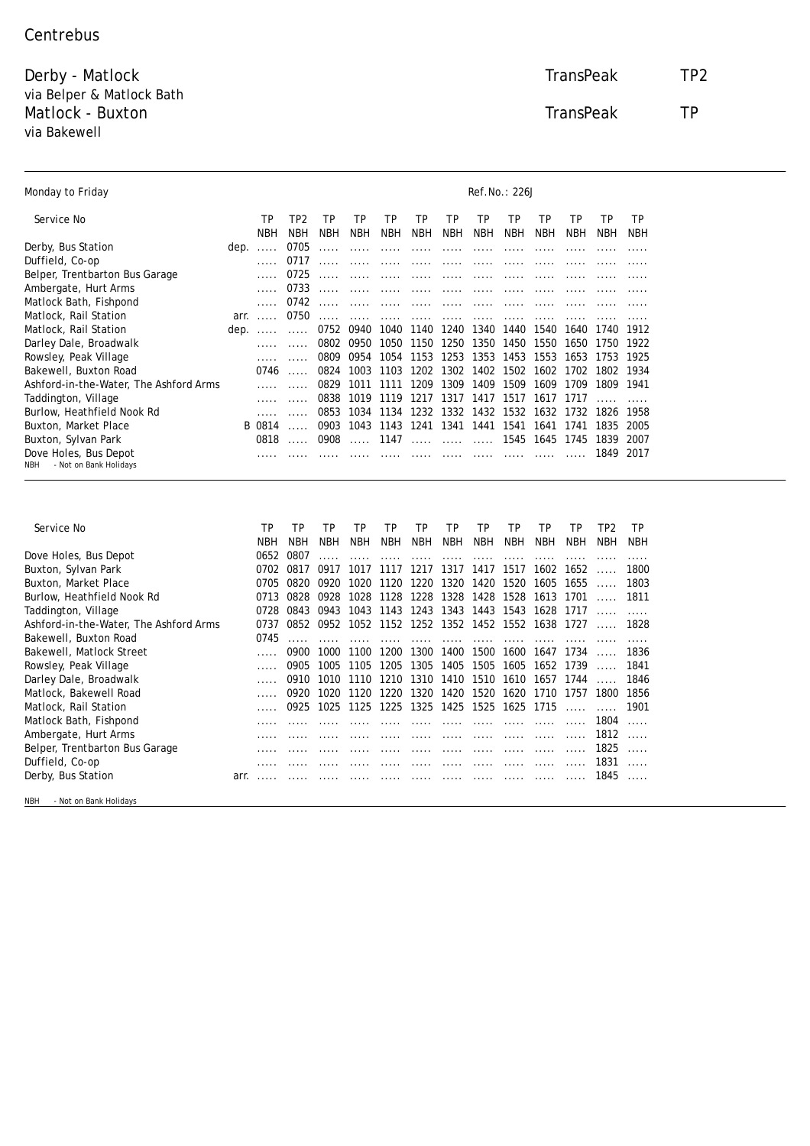## **Centrebus**

 $\overline{\phantom{a}}$ 

Derby - Matlock TransPeak TP2 via Belper & Matlock Bath **Matlock - Buxton TransPeak TP** via Bakewell

| <b>Monday to Friday</b>                | <b>Ref.No.: 226J</b> |             |                |            |            |            |                          |            |            |                |            |      |            |      |
|----------------------------------------|----------------------|-------------|----------------|------------|------------|------------|--------------------------|------------|------------|----------------|------------|------|------------|------|
| Service No                             |                      | TP          | TP2            | TP         | TP         | TP         | TP                       | TP         | TP         | TP             | TP         | TP   | TP         | TP   |
|                                        |                      | <b>NBH</b>  | <b>NBH</b>     | <b>NBH</b> | <b>NBH</b> | <b>NBH</b> | <b>NBH</b>               | <b>NBH</b> | <b>NBH</b> | <b>NBH</b>     | <b>NBH</b> | NBH  | <b>NBH</b> | NBH  |
| <b>Derby, Bus Station</b>              |                      | dep.        | 0705           |            |            |            |                          |            |            |                |            |      |            |      |
| <b>Duffield, Co-op</b>                 |                      |             | 0717           |            |            |            |                          |            |            |                |            |      |            |      |
| <b>Belper, Trentbarton Bus Garage</b>  |                      |             | 0725           |            |            |            |                          |            |            |                |            |      |            |      |
| <b>Ambergate, Hurt Arms</b>            |                      |             | 0733           |            |            |            |                          |            |            |                |            |      |            |      |
| <b>Matlock Bath, Fishpond</b>          |                      |             | 0742           |            |            |            |                          |            |            |                |            |      |            |      |
| <b>Matlock, Rail Station</b>           |                      | <b>arr.</b> | 0750           |            |            |            |                          |            |            |                |            |      |            |      |
| <b>Matlock, Rail Station</b>           | dep.                 |             |                | 0752       | 0940       | 1040       | 1140                     | 1240       | 1340       | 1440           | 1540       | 1640 | 1740       | 1912 |
| <b>Darley Dale, Broadwalk</b>          |                      |             |                | 0802       | 0950       | 1050       | 1150                     | 1250       | 1350       | 1450           | 1550       | 1650 | 1750       | 1922 |
| <b>Rowsley, Peak Village</b>           |                      |             |                | 0809       | 0954       | 1054       | 1153                     | 1253       | 1353       | 1453           | 1553       | 1653 | 1753       | 1925 |
| <b>Bakewell, Buxton Road</b>           |                      | 0746        | $\overline{a}$ | 0824       | 1003       | 1103       | 1202                     | 1302       |            | 1402 1502 1602 |            | 1702 | 1802       | 1934 |
| Ashford-in-the-Water, The Ashford Arms |                      |             |                | 0829       | 1011       | 1111       | 1209                     | 1309       | 1409       | 1509           | 1609       | 1709 | 1809       | 1941 |
| <b>Taddington, Village</b>             |                      |             |                | 0838       | 1019       | 1119       | 1217                     | 1317       | 1417       | 1517           | 1617       | 1717 |            |      |
| Burlow, Heathfield Nook Rd             |                      |             |                | 0853       | 1034       | 1134       | 1232                     | 1332       | 1432       | 1532           | 1632       | 1732 | 1826       | 1958 |
| <b>Buxton, Market Place</b>            |                      | B 0814      |                | 0903       | 1043       | 1143       | 1241                     |            | 1341 1441  |                | 1541 1641  | 1741 | 1835       | 2005 |
| <b>Buxton, Sylvan Park</b>             |                      | 0818        |                | 0908       | $\cdots$   | 1147       | $\overline{\phantom{a}}$ |            |            |                | 1545 1645  | 1745 | 1839       | 2007 |
| Dove Holes, Bus Depot                  |                      |             |                |            |            |            |                          |            |            |                |            |      | 1849       | 2017 |
| - Not on Bank Holidavs<br>NBH          |                      |             |                |            |            |            |                          |            |            |                |            |      |            |      |

| <b>Service No</b>                      |      | TP         | TP   | TP         | TP   | TP         | TP                       | TP             | TP         | TP        | TP         | TP       | TP2  | TP   |
|----------------------------------------|------|------------|------|------------|------|------------|--------------------------|----------------|------------|-----------|------------|----------|------|------|
|                                        |      | <b>NBH</b> | NBH  | <b>NBH</b> | NBH  | <b>NBH</b> | <b>NBH</b>               | NBH            | <b>NBH</b> | NBH       | <b>NBH</b> | NBH      | NBH  | NBH  |
| Dove Holes, Bus Depot                  |      | 0652       | 0807 |            |      |            |                          |                |            |           |            |          |      |      |
| <b>Buxton, Sylvan Park</b>             |      | 0702       | 0817 | 0917       | 1017 | 1117       | 1217                     | 1317           | 1417       | 1517      | 1602       | 1652     |      | 1800 |
| <b>Buxton, Market Place</b>            |      | 0705       | 0820 | 0920       | 1020 | 1120       | 1220                     |                | 1320 1420  | 1520      | 1605       | 1655     |      | 1803 |
| <b>Burlow, Heathfield Nook Rd</b>      |      | 0713       | 0828 | 0928       | 1028 | 1128       |                          | 1228 1328 1428 |            |           | 1528 1613  | 1701     |      | 1811 |
| <b>Taddington, Village</b>             |      | 0728       | 0843 | 0943       | 1043 | 1143       | 1243                     |                | 1343 1443  | 1543      | 1628       | -1717    |      |      |
| Ashford-in-the-Water, The Ashford Arms |      | 0737       | 0852 | 0952       |      |            | 1052 1152 1252 1352 1452 |                |            |           | 1552 1638  | 1727     |      | 1828 |
| <b>Bakewell, Buxton Road</b>           |      | 0745       |      |            |      |            |                          |                |            |           |            |          |      |      |
| <b>Bakewell, Matlock Street</b>        |      |            | 0900 | 1000       | 1100 | 1200       | 1300                     | 1400           | 1500       | 1600      | 1647       | 1734     |      | 1836 |
| <b>Rowsley, Peak Village</b>           |      |            | 0905 | 1005       | 1105 | 1205       | 1305                     | 1405           | 1505       | 1605      | 1652       | 1739     |      | 1841 |
| <b>Darley Dale, Broadwalk</b>          |      |            | 0910 | 1010       | 1110 | 1210       | 1310                     | 1410           | 1510       | 1610      | 1657       | 1744     |      | 1846 |
| <b>Matlock, Bakewell Road</b>          |      |            | 0920 | 1020       | 1120 | 1220       | 1320                     | 1420           | 1520       | 1620      | 1710       | 1757     | 1800 | 1856 |
| <b>Matlock, Rail Station</b>           |      |            | 0925 | 1025       | 1125 | 1225       |                          | 1325 1425 1525 |            | 1625 1715 |            | $\cdots$ |      | 1901 |
| <b>Matlock Bath, Fishpond</b>          |      |            |      |            |      |            |                          |                |            |           |            |          | 1804 |      |
| <b>Ambergate, Hurt Arms</b>            |      |            |      |            |      |            |                          |                |            |           |            |          | 1812 |      |
| <b>Belper, Trentbarton Bus Garage</b>  |      |            |      |            |      |            |                          |                |            |           |            |          | 1825 |      |
| Duffield, Co-op                        |      |            |      |            |      |            |                          |                |            |           |            |          | 1831 |      |
| <b>Derby, Bus Station</b>              | arr. |            |      |            |      |            |                          |                |            |           |            |          | 1845 |      |

NBH - Not on Bank Holidays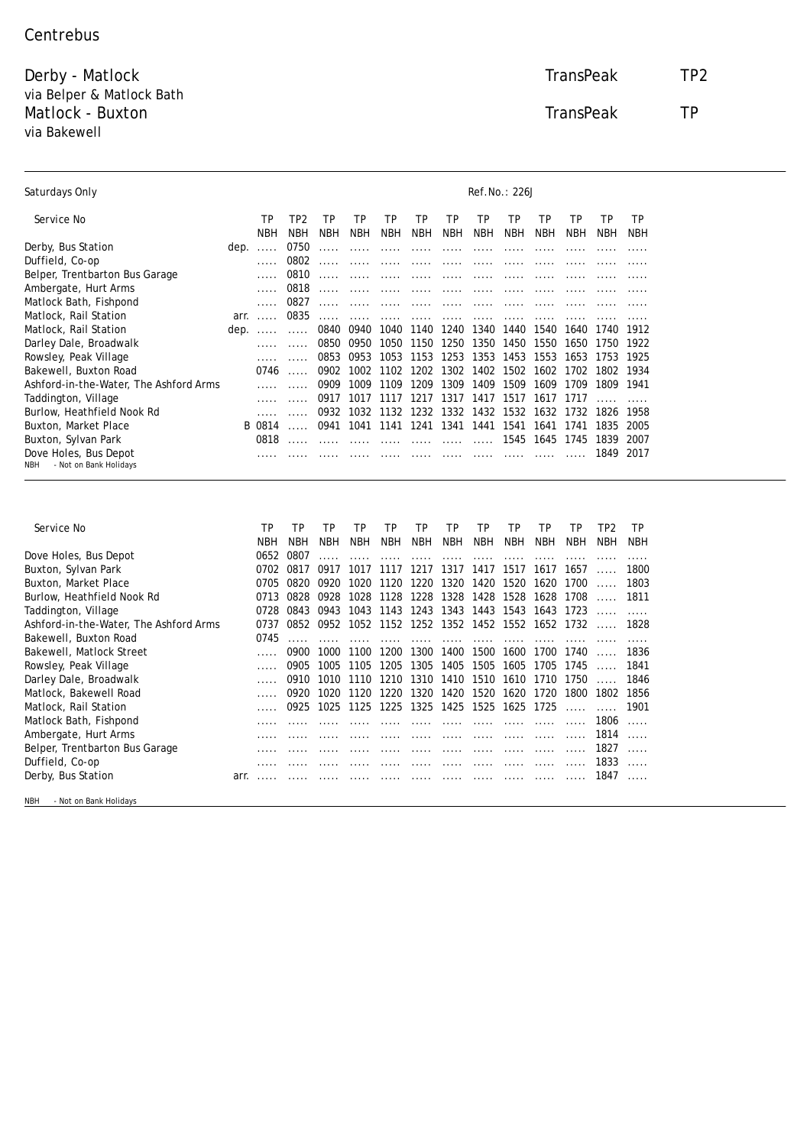## **Centrebus**

Derby - Matlock TransPeak TP2 via Belper & Matlock Bath Matlock - Buxton TransPeak TP via Bakewell

| <b>Saturdays Only</b>                 | <b>Ref.No.: 226J</b> |     |                      |            |                         |                  |     |    |    |                       |                                          |                |           |
|---------------------------------------|----------------------|-----|----------------------|------------|-------------------------|------------------|-----|----|----|-----------------------|------------------------------------------|----------------|-----------|
| Service No                            | TP<br>NRH            | TP2 | <b>TP</b><br>NBH NBH | TP.<br>NBH | <b>TP</b><br><b>NBH</b> | <b>TP</b><br>NBH | TP. | TP | TP | TP<br>NBH NBH NBH NBH | <b>TP</b><br>NBH                         | TP.<br>NBH NBH | <b>TP</b> |
| <b>Derby, Bus Station</b>             |                      |     |                      |            |                         |                  |     |    |    |                       |                                          |                |           |
| <b>Duffield, Co-op</b>                |                      |     |                      |            |                         |                  |     |    |    |                       |                                          |                |           |
| <b>Belper, Trentbarton Bus Garage</b> |                      |     |                      |            |                         |                  |     |    |    |                       |                                          |                |           |
| <b>Ambergate, Hurt Arms</b>           |                      |     |                      |            |                         |                  |     |    |    |                       | 0818 …… …… …… …… …… …… …… …… …… …… …… …… |                |           |

| Matlock Bath, Fishpond                              |  |                                                                |  |                                                        |  |  |  |  |
|-----------------------------------------------------|--|----------------------------------------------------------------|--|--------------------------------------------------------|--|--|--|--|
|                                                     |  |                                                                |  |                                                        |  |  |  |  |
| Matlock, Rail Station                               |  |                                                                |  |                                                        |  |  |  |  |
| Matlock, Rail Station                               |  | dep.   0840 0940 1040 1140 1240 1340 1440 1540 1640 1740 1912  |  |                                                        |  |  |  |  |
| Darley Dale, Broadwalk                              |  |                                                                |  | 0850 0950 1050 1150 1250 1350 1450 1550 1650 1750 1922 |  |  |  |  |
| Rowsley, Peak Village                               |  | 0853 0953 1053 1153 1253 1353 1453 1553 1653 1753 1925         |  |                                                        |  |  |  |  |
| Bakewell, Buxton Road                               |  | 0746  0902 1002 1102 1202 1302 1402 1502 1602 1702 1802 1934   |  |                                                        |  |  |  |  |
| Ashford-in-the-Water, The Ashford Arms              |  | 0909 1009 1109 1209 1309 1409 1509 1609 1709 1809 1941         |  |                                                        |  |  |  |  |
| Taddington, Village                                 |  | 0917 1017 1117 1217 1317 1417 1517 1617 1717                   |  |                                                        |  |  |  |  |
| Burlow, Heathfield Nook Rd                          |  | 0932 1032 1132 1232 1332 1432 1532 1632 1732 1826 1958         |  |                                                        |  |  |  |  |
| Buxton, Market Place                                |  | B 0814  0941 1041 1141 1241 1341 1441 1541 1641 1741 1835 2005 |  |                                                        |  |  |  |  |
| Buxton, Sylvan Park                                 |  |                                                                |  |                                                        |  |  |  |  |
| Dove Holes, Bus Depot<br>NBH - Not on Bank Holidays |  |                                                                |  |                                                        |  |  |  |  |
|                                                     |  |                                                                |  |                                                        |  |  |  |  |

| Service No                             | TP   | TP   | TP         | TP         | TP         | TP       | TP         | TP         | TP         | TP                                      | TP         | TP2  | TP   |
|----------------------------------------|------|------|------------|------------|------------|----------|------------|------------|------------|-----------------------------------------|------------|------|------|
|                                        | NBH  | NBH  | <b>NBH</b> | <b>NBH</b> | <b>NBH</b> | NBH      | <b>NBH</b> | <b>NBH</b> | <b>NBH</b> | <b>NBH</b>                              | <b>NBH</b> | NBH  | NBH  |
| <b>Dove Holes, Bus Depot</b>           | 0652 | 0807 |            |            |            |          |            |            |            |                                         |            |      |      |
| <b>Buxton, Sylvan Park</b>             | 0702 | 0817 | 0917       | 1017       | 1117       | 1217     | 1317       | 1417       | 1517       | 1617                                    | 1657       |      | 1800 |
| <b>Buxton, Market Place</b>            | 0705 | 0820 | 0920       | 1020       | 1120       | 1220     | 1320       | 1420       | 1520       | 1620                                    | 1700       |      | 1803 |
| Burlow, Heathfield Nook Rd             | 0713 | 0828 | 0928       | 1028       | 1128       | 1228     | 1328       | 1428       | 1528       | 1628                                    | 1708       |      | 1811 |
| <b>Taddington, Village</b>             | 0728 | 0843 | 0943       | 1043       | 1143       | 1243     | 1343       | 1443       | 1543       | 1643                                    | 1723       |      |      |
| Ashford-in-the-Water, The Ashford Arms | 0737 | 0852 | 0952       |            |            |          |            |            |            | 1052 1152 1252 1352 1452 1552 1652 1732 |            |      | 1828 |
| <b>Bakewell, Buxton Road</b>           | 0745 |      |            |            |            | $\cdots$ | $\cdots$   | $\cdots$   | $\cdots$   |                                         |            |      |      |
| <b>Bakewell, Matlock Street</b>        |      | 0900 | 1000       | 1100       | 1200       | 1300     | 1400       | 1500       | 1600       | 1700                                    | 1740       |      | 1836 |
| <b>Rowsley, Peak Village</b>           |      | 0905 | 1005       | 1105       | 1205       | 1305     | 1405       | 1505       | 1605       | 1705                                    | 1745       |      | 1841 |
| <b>Darley Dale, Broadwalk</b>          |      | 0910 | 1010       | 1110       | 1210       | 1310     | 1410       | 1510       | 1610       | 1710                                    | 1750       |      | 1846 |
| <b>Matlock, Bakewell Road</b>          |      | 0920 | 1020       | 1120       | 1220       | 1320     | 1420       | 1520       | 1620       | 1720                                    | 1800       | 1802 | 1856 |
| <b>Matlock, Rail Station</b>           |      | 0925 | 1025       | 1125       | 1225       | 1325     | 1425       | 1525       | 1625       | 1725                                    | $\cdots$   |      | 1901 |
| <b>Matlock Bath, Fishpond</b>          |      |      |            |            |            |          |            |            |            |                                         |            | 1806 |      |
| <b>Ambergate, Hurt Arms</b>            |      |      |            |            |            |          |            |            |            |                                         |            | 1814 |      |
| <b>Belper, Trentbarton Bus Garage</b>  |      |      |            |            |            |          |            |            |            |                                         |            | 1827 |      |
| Duffield, Co-op                        |      |      |            |            |            |          |            |            |            |                                         |            | 1833 |      |
| <b>Derby, Bus Station</b>              | arr. |      |            |            |            |          |            |            |            |                                         |            | 1847 |      |

NBH - Not on Bank Holidays